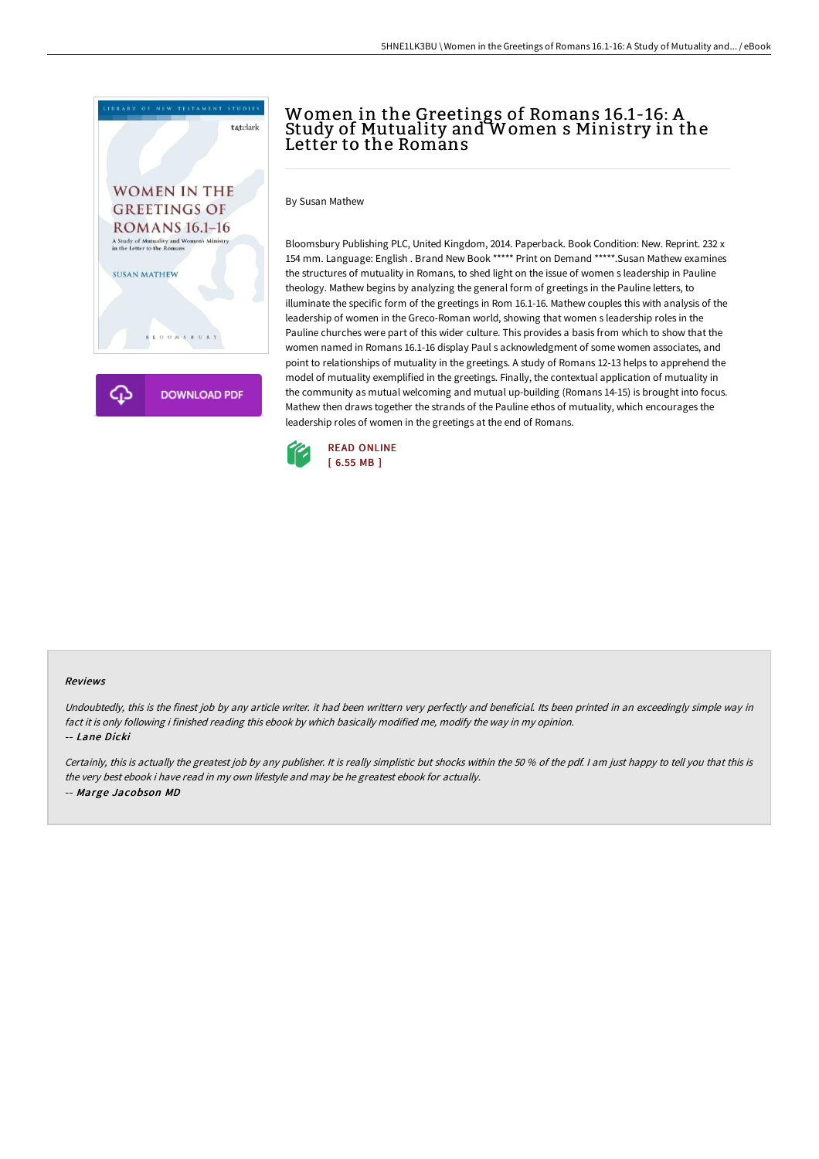

## Women in the Greetings of Romans 16.1-16: A Study of Mutuality and Women s Ministry in the Letter to the Romans

By Susan Mathew

Bloomsbury Publishing PLC, United Kingdom, 2014. Paperback. Book Condition: New. Reprint. 232 x 154 mm. Language: English . Brand New Book \*\*\*\*\* Print on Demand \*\*\*\*\*.Susan Mathew examines the structures of mutuality in Romans, to shed light on the issue of women s leadership in Pauline theology. Mathew begins by analyzing the general form of greetings in the Pauline letters, to illuminate the specific form of the greetings in Rom 16.1-16. Mathew couples this with analysis of the leadership of women in the Greco-Roman world, showing that women s leadership roles in the Pauline churches were part of this wider culture. This provides a basis from which to show that the women named in Romans 16.1-16 display Paul s acknowledgment of some women associates, and point to relationships of mutuality in the greetings. A study of Romans 12-13 helps to apprehend the model of mutuality exemplified in the greetings. Finally, the contextual application of mutuality in the community as mutual welcoming and mutual up-building (Romans 14-15) is brought into focus. Mathew then draws together the strands of the Pauline ethos of mutuality, which encourages the leadership roles of women in the greetings at the end of Romans.



## Reviews

Undoubtedly, this is the finest job by any article writer. it had been writtern very perfectly and beneficial. Its been printed in an exceedingly simple way in fact it is only following i finished reading this ebook by which basically modified me, modify the way in my opinion. -- Lane Dicki

Certainly, this is actually the greatest job by any publisher. It is really simplistic but shocks within the <sup>50</sup> % of the pdf. <sup>I</sup> am just happy to tell you that this is the very best ebook i have read in my own lifestyle and may be he greatest ebook for actually. -- Marge Jacobson MD